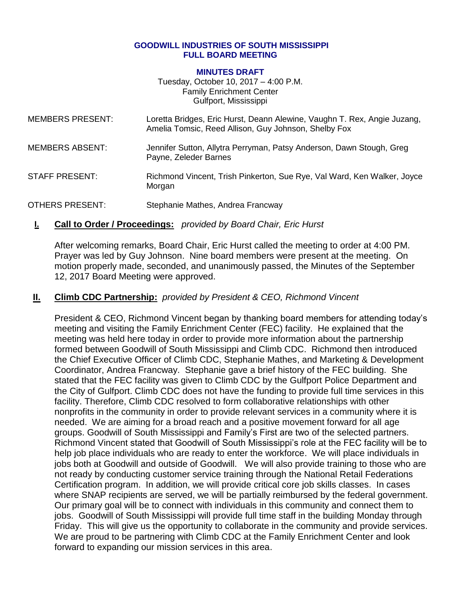#### **GOODWILL INDUSTRIES OF SOUTH MISSISSIPPI FULL BOARD MEETING**

#### **MINUTES DRAFT**

Tuesday, October 10, 2017 – 4:00 P.M. Family Enrichment Center Gulfport, Mississippi

| <b>MEMBERS PRESENT:</b> | Loretta Bridges, Eric Hurst, Deann Alewine, Vaughn T. Rex, Angie Juzang,<br>Amelia Tomsic, Reed Allison, Guy Johnson, Shelby Fox |
|-------------------------|----------------------------------------------------------------------------------------------------------------------------------|
| <b>MEMBERS ABSENT:</b>  | Jennifer Sutton, Allytra Perryman, Patsy Anderson, Dawn Stough, Greg<br>Payne, Zeleder Barnes                                    |
| <b>STAFF PRESENT:</b>   | Richmond Vincent, Trish Pinkerton, Sue Rye, Val Ward, Ken Walker, Joyce                                                          |

OTHERS PRESENT: Stephanie Mathes, Andrea Francway

### **I. Call to Order / Proceedings:** *provided by Board Chair, Eric Hurst*

Morgan

After welcoming remarks, Board Chair, Eric Hurst called the meeting to order at 4:00 PM. Prayer was led by Guy Johnson. Nine board members were present at the meeting. On motion properly made, seconded, and unanimously passed, the Minutes of the September 12, 2017 Board Meeting were approved.

### **II. Climb CDC Partnership:** *provided by President & CEO, Richmond Vincent*

President & CEO, Richmond Vincent began by thanking board members for attending today's meeting and visiting the Family Enrichment Center (FEC) facility. He explained that the meeting was held here today in order to provide more information about the partnership formed between Goodwill of South Mississippi and Climb CDC. Richmond then introduced the Chief Executive Officer of Climb CDC, Stephanie Mathes, and Marketing & Development Coordinator, Andrea Francway. Stephanie gave a brief history of the FEC building. She stated that the FEC facility was given to Climb CDC by the Gulfport Police Department and the City of Gulfport. Climb CDC does not have the funding to provide full time services in this facility. Therefore, Climb CDC resolved to form collaborative relationships with other nonprofits in the community in order to provide relevant services in a community where it is needed. We are aiming for a broad reach and a positive movement forward for all age groups. Goodwill of South Mississippi and Family's First are two of the selected partners. Richmond Vincent stated that Goodwill of South Mississippi's role at the FEC facility will be to help job place individuals who are ready to enter the workforce. We will place individuals in jobs both at Goodwill and outside of Goodwill. We will also provide training to those who are not ready by conducting customer service training through the National Retail Federations Certification program. In addition, we will provide critical core job skills classes. In cases where SNAP recipients are served, we will be partially reimbursed by the federal government. Our primary goal will be to connect with individuals in this community and connect them to jobs. Goodwill of South Mississippi will provide full time staff in the building Monday through Friday. This will give us the opportunity to collaborate in the community and provide services. We are proud to be partnering with Climb CDC at the Family Enrichment Center and look forward to expanding our mission services in this area.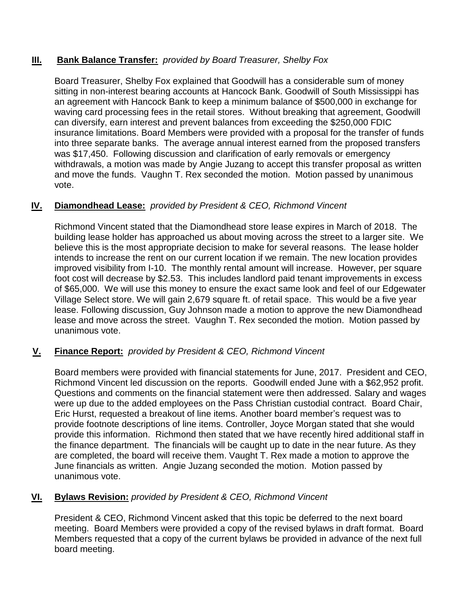## **III. Bank Balance Transfer:** *provided by Board Treasurer, Shelby Fox*

Board Treasurer, Shelby Fox explained that Goodwill has a considerable sum of money sitting in non-interest bearing accounts at Hancock Bank. Goodwill of South Mississippi has an agreement with Hancock Bank to keep a minimum balance of \$500,000 in exchange for waving card processing fees in the retail stores. Without breaking that agreement, Goodwill can diversify, earn interest and prevent balances from exceeding the \$250,000 FDIC insurance limitations. Board Members were provided with a proposal for the transfer of funds into three separate banks. The average annual interest earned from the proposed transfers was \$17,450. Following discussion and clarification of early removals or emergency withdrawals, a motion was made by Angie Juzang to accept this transfer proposal as written and move the funds. Vaughn T. Rex seconded the motion. Motion passed by unanimous vote.

## **IV. Diamondhead Lease:** *provided by President & CEO, Richmond Vincent*

Richmond Vincent stated that the Diamondhead store lease expires in March of 2018. The building lease holder has approached us about moving across the street to a larger site. We believe this is the most appropriate decision to make for several reasons. The lease holder intends to increase the rent on our current location if we remain. The new location provides improved visibility from I-10. The monthly rental amount will increase. However, per square foot cost will decrease by \$2.53. This includes landlord paid tenant improvements in excess of \$65,000. We will use this money to ensure the exact same look and feel of our Edgewater Village Select store. We will gain 2,679 square ft. of retail space. This would be a five year lease. Following discussion, Guy Johnson made a motion to approve the new Diamondhead lease and move across the street. Vaughn T. Rex seconded the motion. Motion passed by unanimous vote.

# **V. Finance Report:** *provided by President & CEO, Richmond Vincent*

Board members were provided with financial statements for June, 2017. President and CEO, Richmond Vincent led discussion on the reports. Goodwill ended June with a \$62,952 profit. Questions and comments on the financial statement were then addressed. Salary and wages were up due to the added employees on the Pass Christian custodial contract. Board Chair, Eric Hurst, requested a breakout of line items. Another board member's request was to provide footnote descriptions of line items. Controller, Joyce Morgan stated that she would provide this information. Richmond then stated that we have recently hired additional staff in the finance department. The financials will be caught up to date in the near future. As they are completed, the board will receive them. Vaught T. Rex made a motion to approve the June financials as written. Angie Juzang seconded the motion. Motion passed by unanimous vote.

# **VI. Bylaws Revision:** *provided by President & CEO, Richmond Vincent*

President & CEO, Richmond Vincent asked that this topic be deferred to the next board meeting. Board Members were provided a copy of the revised bylaws in draft format. Board Members requested that a copy of the current bylaws be provided in advance of the next full board meeting.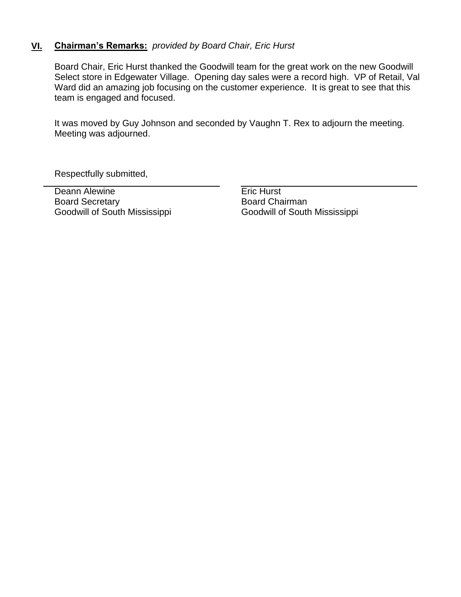## **VI. Chairman's Remarks:** *provided by Board Chair, Eric Hurst*

Board Chair, Eric Hurst thanked the Goodwill team for the great work on the new Goodwill Select store in Edgewater Village. Opening day sales were a record high. VP of Retail, Val Ward did an amazing job focusing on the customer experience. It is great to see that this team is engaged and focused.

It was moved by Guy Johnson and seconded by Vaughn T. Rex to adjourn the meeting. Meeting was adjourned.

Respectfully submitted,

Deann Alewine **Example 2** Eric Hurst Board Secretary Goodwill of South Mississippi

Board Chairman Goodwill of South Mississippi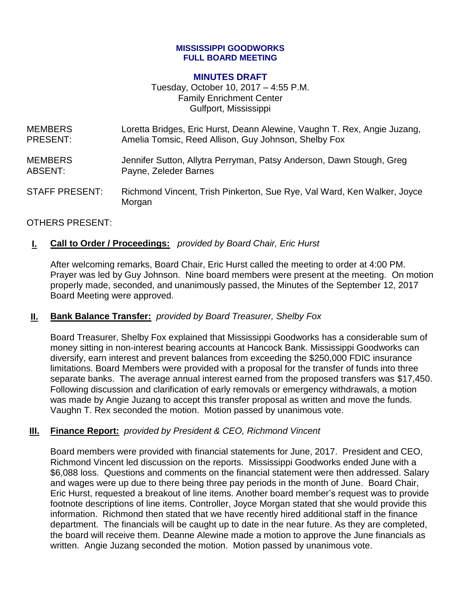#### **MISSISSIPPI GOODWORKS FULL BOARD MEETING**

#### **MINUTES DRAFT**

Tuesday, October 10, 2017 – 4:55 P.M. Family Enrichment Center Gulfport, Mississippi

| <b>MEMBERS</b>        | Loretta Bridges, Eric Hurst, Deann Alewine, Vaughn T. Rex, Angie Juzang,          |
|-----------------------|-----------------------------------------------------------------------------------|
| PRESENT:              | Amelia Tomsic, Reed Allison, Guy Johnson, Shelby Fox                              |
| <b>MEMBERS</b>        | Jennifer Sutton, Allytra Perryman, Patsy Anderson, Dawn Stough, Greg              |
| ABSENT:               | Payne, Zeleder Barnes                                                             |
| <b>STAFF PRESENT:</b> | Richmond Vincent, Trish Pinkerton, Sue Rye, Val Ward, Ken Walker, Joyce<br>Morgan |

### OTHERS PRESENT:

### **I. Call to Order / Proceedings:** *provided by Board Chair, Eric Hurst*

After welcoming remarks, Board Chair, Eric Hurst called the meeting to order at 4:00 PM. Prayer was led by Guy Johnson. Nine board members were present at the meeting. On motion properly made, seconded, and unanimously passed, the Minutes of the September 12, 2017 Board Meeting were approved.

#### **II. Bank Balance Transfer:** *provided by Board Treasurer, Shelby Fox*

Board Treasurer, Shelby Fox explained that Mississippi Goodworks has a considerable sum of money sitting in non-interest bearing accounts at Hancock Bank. Mississippi Goodworks can diversify, earn interest and prevent balances from exceeding the \$250,000 FDIC insurance limitations. Board Members were provided with a proposal for the transfer of funds into three separate banks. The average annual interest earned from the proposed transfers was \$17,450. Following discussion and clarification of early removals or emergency withdrawals, a motion was made by Angie Juzang to accept this transfer proposal as written and move the funds. Vaughn T. Rex seconded the motion. Motion passed by unanimous vote.

#### **III. Finance Report:** *provided by President & CEO, Richmond Vincent*

Board members were provided with financial statements for June, 2017. President and CEO, Richmond Vincent led discussion on the reports. Mississippi Goodworks ended June with a \$6,088 loss. Questions and comments on the financial statement were then addressed. Salary and wages were up due to there being three pay periods in the month of June. Board Chair, Eric Hurst, requested a breakout of line items. Another board member's request was to provide footnote descriptions of line items. Controller, Joyce Morgan stated that she would provide this information. Richmond then stated that we have recently hired additional staff in the finance department. The financials will be caught up to date in the near future. As they are completed, the board will receive them. Deanne Alewine made a motion to approve the June financials as written. Angie Juzang seconded the motion. Motion passed by unanimous vote.